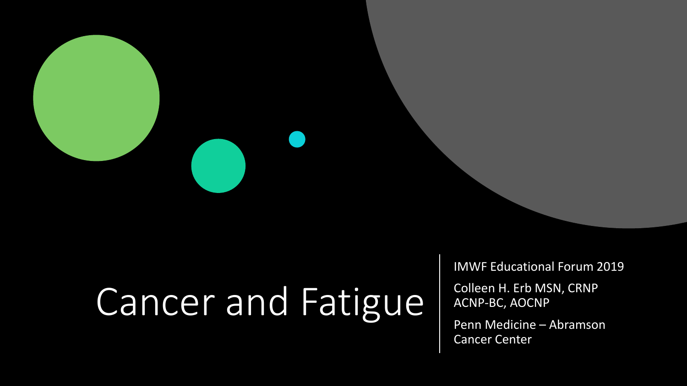# Cancer and Fatigue

IMWF Educational Forum 2019

Colleen H. Erb MSN, CRNP ACNP-BC, AOCNP

Penn Medicine – Abramson Cancer Center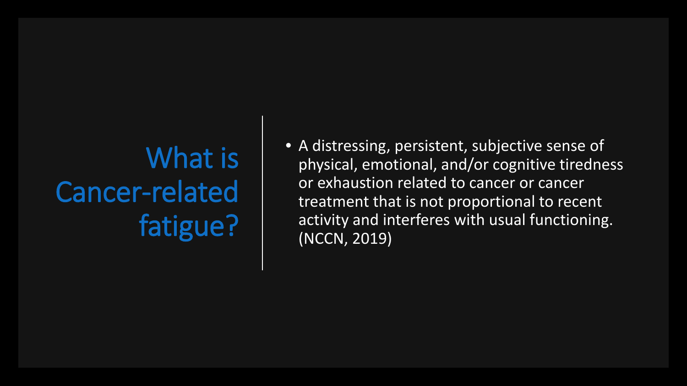# What is Cancer-related fatigue?

• A distressing, persistent, subjective sense of physical, emotional, and/or cognitive tiredness or exhaustion related to cancer or cancer treatment that is not proportional to recent activity and interferes with usual functioning. (NCCN, 2019)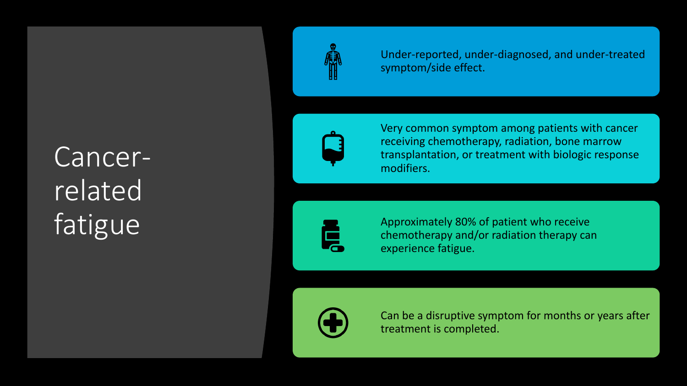Cancerrelated fatigue



Under-reported, under-diagnosed, and under-treated symptom/side effect.



Very common symptom among patients with cancer receiving chemotherapy, radiation, bone marrow transplantation, or treatment with biologic response modifiers.

Ē

Approximately 80% of patient who receive chemotherapy and/or radiation therapy can experience fatigue.



Can be a disruptive symptom for months or years after treatment is completed.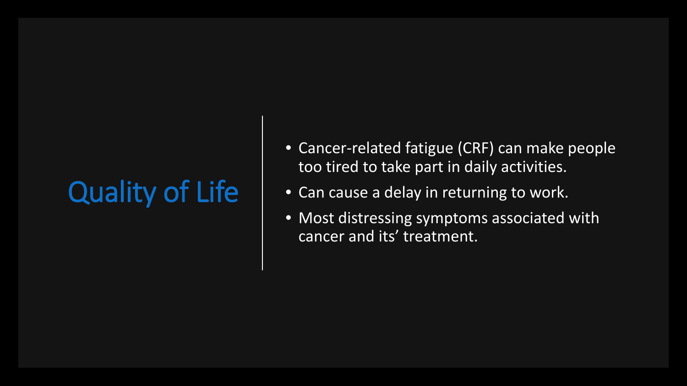# Quality of Life

- Cancer-related fatigue (CRF) can make people too tired to take part in daily activities.
- Can cause a delay in returning to work.
- Most distressing symptoms associated with cancer and its' treatment.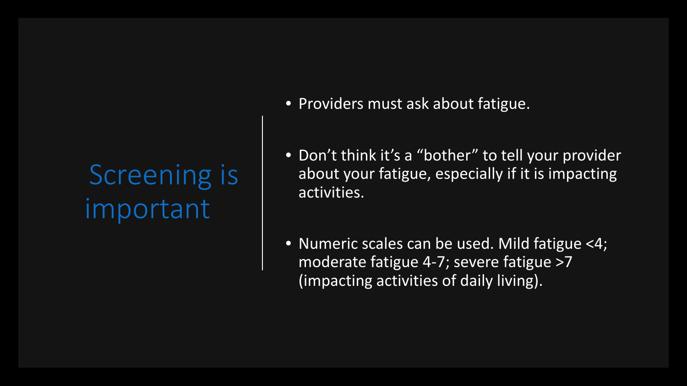### Screening is important

- Providers must ask about fatigue.
- Don't think it's a "bother" to tell your provider about your fatigue, especially if it is impacting activities.
- Numeric scales can be used. Mild fatigue <4; moderate fatigue 4-7; severe fatigue >7 (impacting activities of daily living).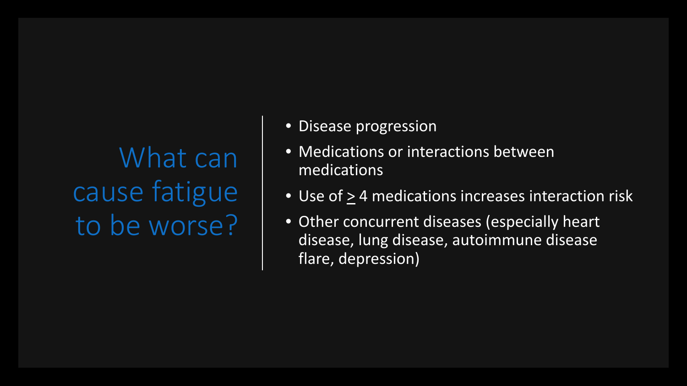What can cause fatigue to be worse?

- Disease progression
- Medications or interactions between medications
- Use of  $\geq$  4 medications increases interaction risk
- Other concurrent diseases (especially heart disease, lung disease, autoimmune disease flare, depression)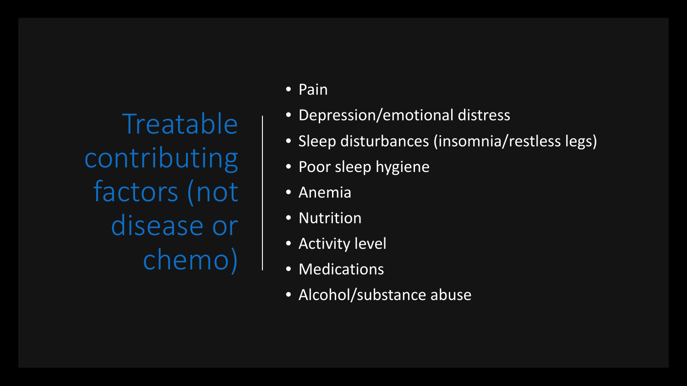**Treatable** contributing factors (not disease or chemo)

• Pain

- Depression/emotional distress
- Sleep disturbances (insomnia/restless legs)
- Poor sleep hygiene
- Anemia
- Nutrition
- Activity level
- Medications
- Alcohol/substance abuse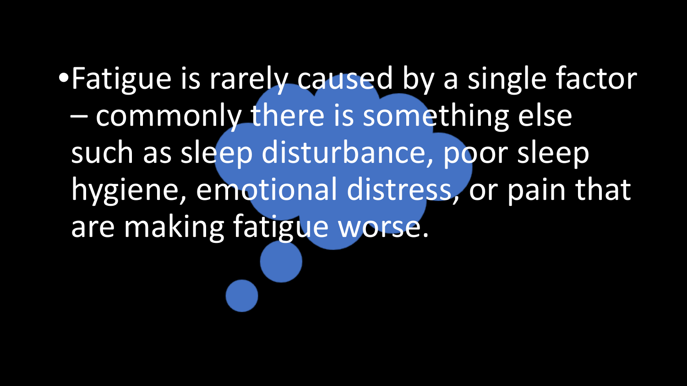•Fatigue is rarely caused by a single factor – commonly there is something else such as sleep disturbance, poor sleep hygiene, emotional distress, or pain that are making fatigue worse.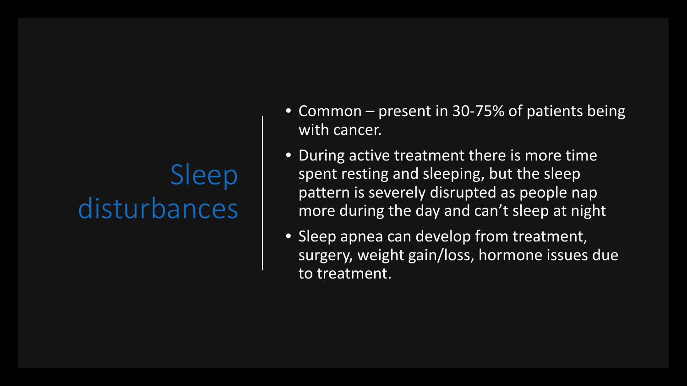### Sleep disturbances

- Common present in 30-75% of patients being with cancer.
- During active treatment there is more time spent resting and sleeping, but the sleep pattern is severely disrupted as people nap more during the day and can't sleep at night
- Sleep apnea can develop from treatment, surgery, weight gain/loss, hormone issues due to treatment.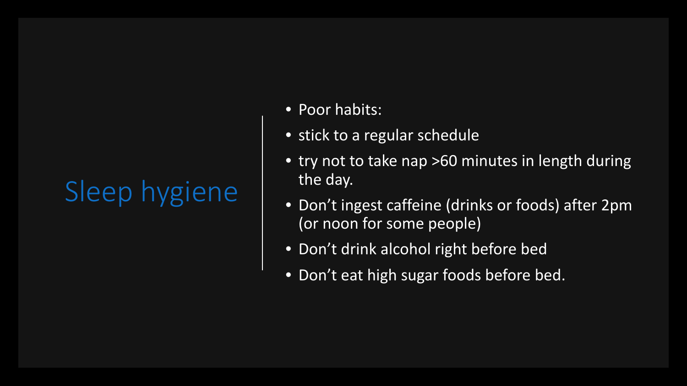- Poor habits:
- stick to a regular schedule
- try not to take nap >60 minutes in length during the day.
- Don't ingest caffeine (drinks or foods) after 2pm (or noon for some people)
- Don't drink alcohol right before bed
- Don't eat high sugar foods before bed.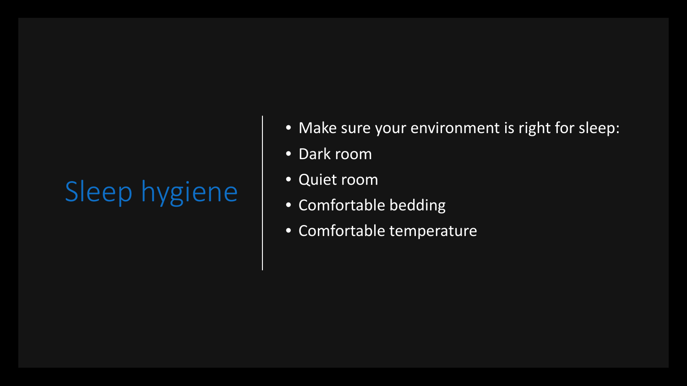- Make sure your environment is right for sleep:
- Dark room
- Quiet room
- Comfortable bedding
- Comfortable temperature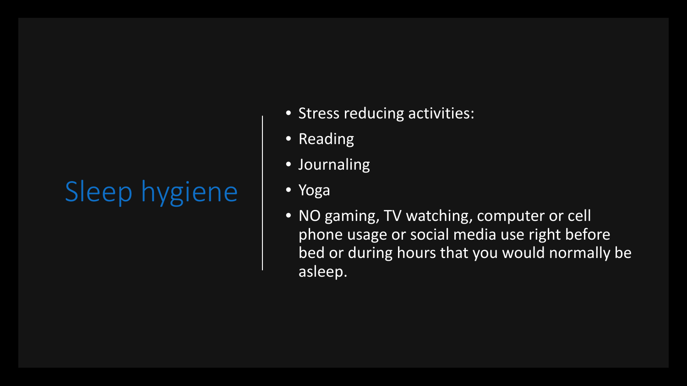- Stress reducing activities:
- Reading
- Journaling
- Yoga
- NO gaming, TV watching, computer or cell phone usage or social media use right before bed or during hours that you would normally be asleep.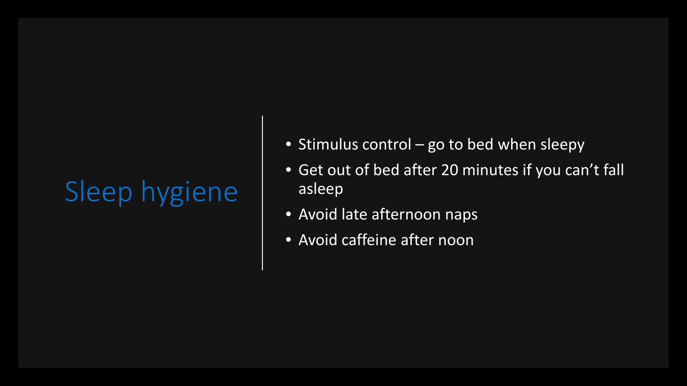- Stimulus control go to bed when sleepy
- Get out of bed after 20 minutes if you can't fall asleep
- Avoid late afternoon naps
- Avoid caffeine after noon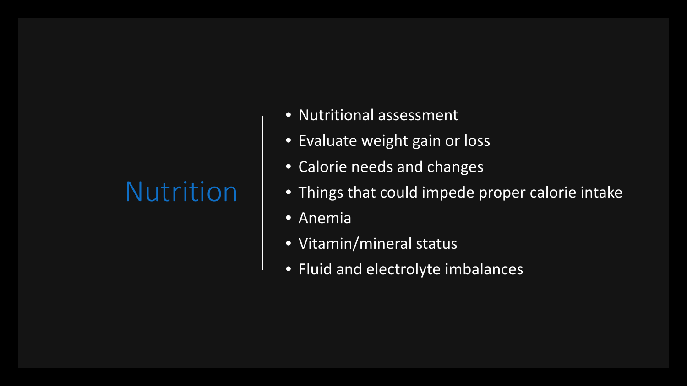#### Nutrition

- Nutritional assessment
- Evaluate weight gain or loss
- Calorie needs and changes
- Things that could impede proper calorie intake
- Anemia
- Vitamin/mineral status
- Fluid and electrolyte imbalances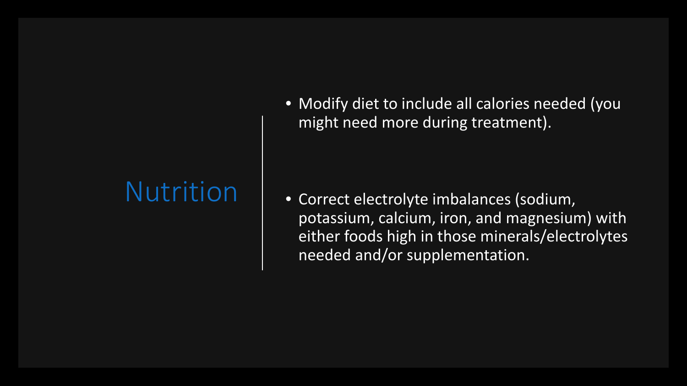#### Nutrition

• Modify diet to include all calories needed (you might need more during treatment).

• Correct electrolyte imbalances (sodium, potassium, calcium, iron, and magnesium) with either foods high in those minerals/electrolytes needed and/or supplementation.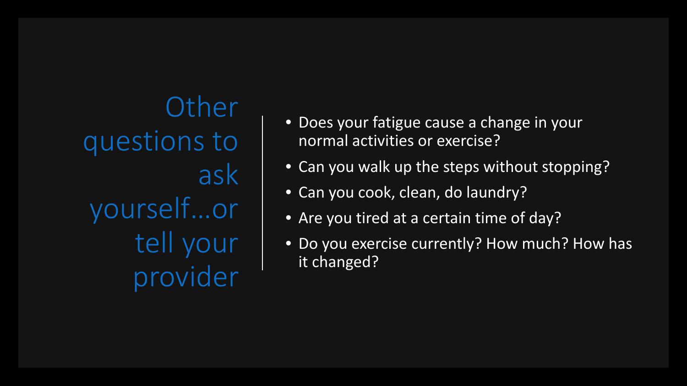**Other** questions to ask yourself…or tell your provider

- Does your fatigue cause a change in your normal activities or exercise?
- Can you walk up the steps without stopping?
- Can you cook, clean, do laundry?
- Are you tired at a certain time of day?
- Do you exercise currently? How much? How has it changed?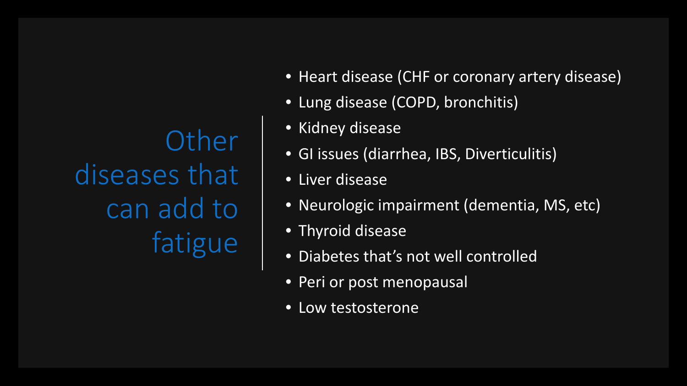**Other** diseases that can add to fatigue

- Heart disease (CHF or coronary artery disease)
- Lung disease (COPD, bronchitis)
- Kidney disease
- GI issues (diarrhea, IBS, Diverticulitis)
- Liver disease
- Neurologic impairment (dementia, MS, etc)
- Thyroid disease
- Diabetes that's not well controlled
- Peri or post menopausal
- Low testosterone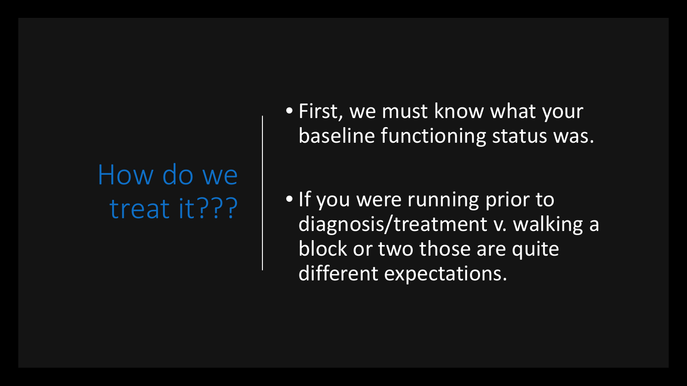#### How do we treat it???

• First, we must know what your baseline functioning status was.

• If you were running prior to diagnosis/treatment v. walking a block or two those are quite different expectations.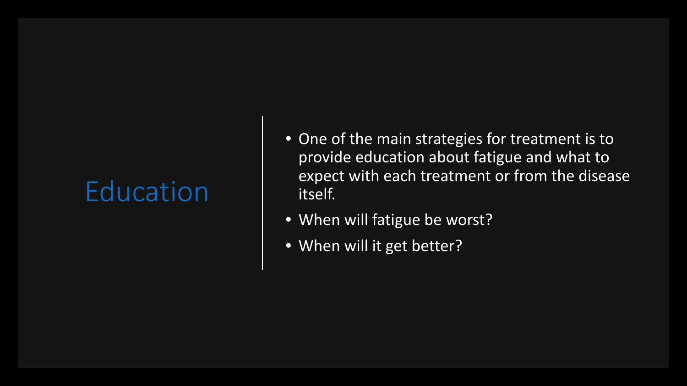#### Education

- One of the main strategies for treatment is to provide education about fatigue and what to expect with each treatment or from the disease itself.
- When will fatigue be worst?
- When will it get better?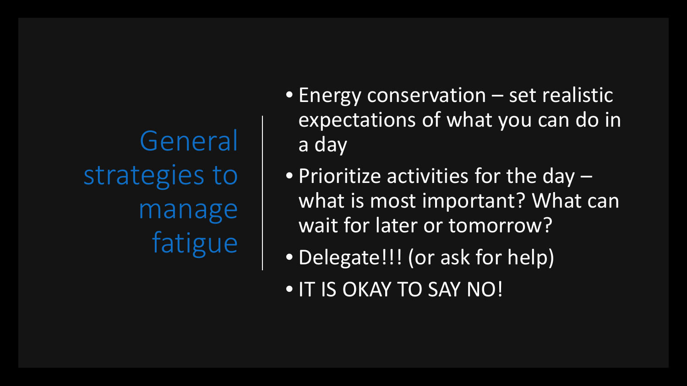General strategies to manage fatigue

- Energy conservation set realistic expectations of what you can do in a day
- Prioritize activities for the day what is most important? What can wait for later or tomorrow?
- Delegate!!! (or ask for help)
- IT IS OKAY TO SAY NO!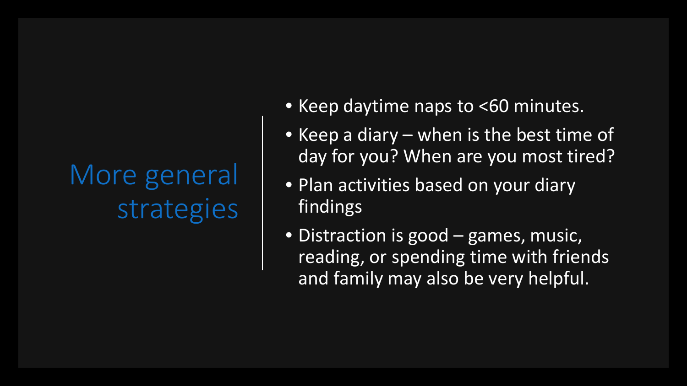# More general strategies

- Keep daytime naps to <60 minutes.
- Keep a diary when is the best time of day for you? When are you most tired?
- Plan activities based on your diary findings
- Distraction is good games, music, reading, or spending time with friends and family may also be very helpful.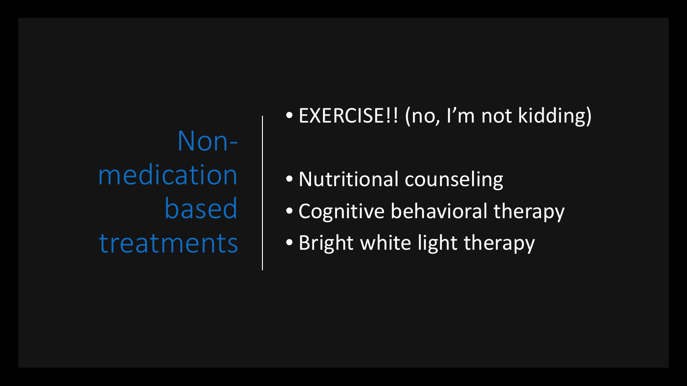Nonmedication based treatments • EXERCISE!! (no, I'm not kidding)

- Nutritional counseling
- Cognitive behavioral therapy
- Bright white light therapy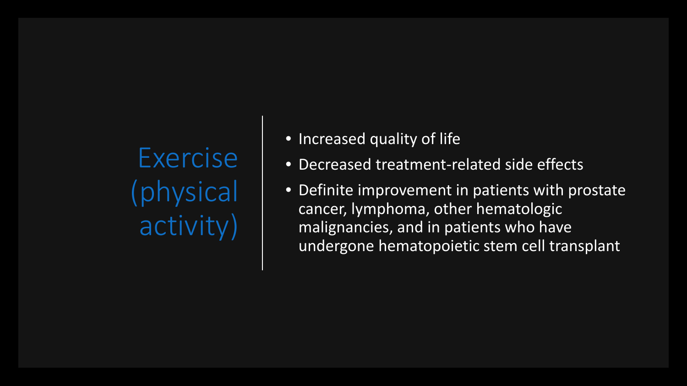Exercise hysical activity)

- Increased quality of life
- Decreased treatment-related side effects
- Definite improvement in patients with prostate cancer, lymphoma, other hematologic malignancies, and in patients who have undergone hematopoietic stem cell transplant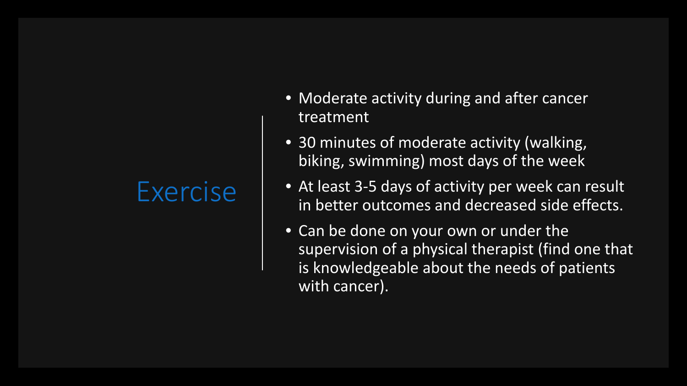#### Exercise

- Moderate activity during and after cancer treatment
- 30 minutes of moderate activity (walking, biking, swimming) most days of the week
- At least 3-5 days of activity per week can result in better outcomes and decreased side effects.
- Can be done on your own or under the supervision of a physical therapist (find one that is knowledgeable about the needs of patients with cancer).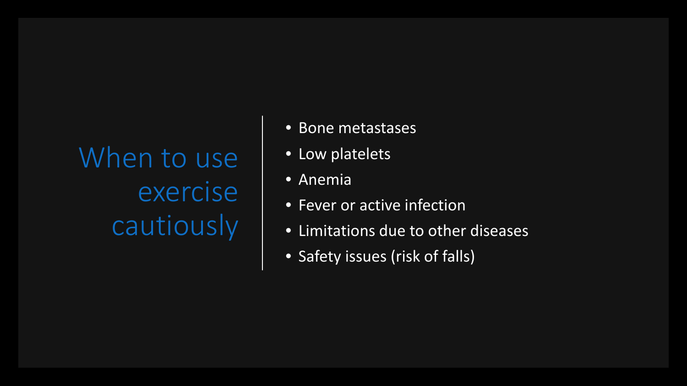When to use exercise cautiously

- Bone metastases
- Low platelets
- Anemia
- Fever or active infection
- Limitations due to other diseases
- Safety issues (risk of falls)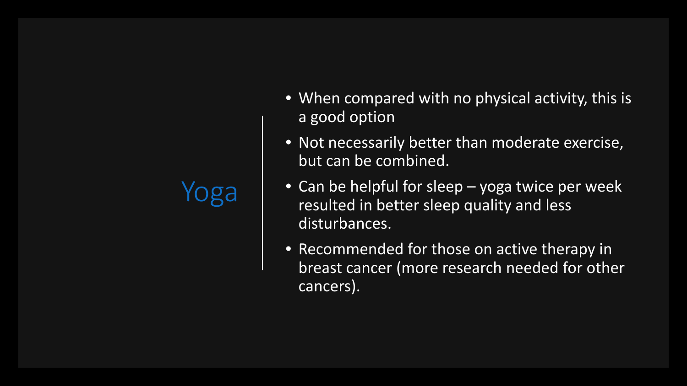### Yoga

- When compared with no physical activity, this is a good option
- Not necessarily better than moderate exercise, but can be combined.
- Can be helpful for sleep yoga twice per week resulted in better sleep quality and less disturbances.
- Recommended for those on active therapy in breast cancer (more research needed for other cancers).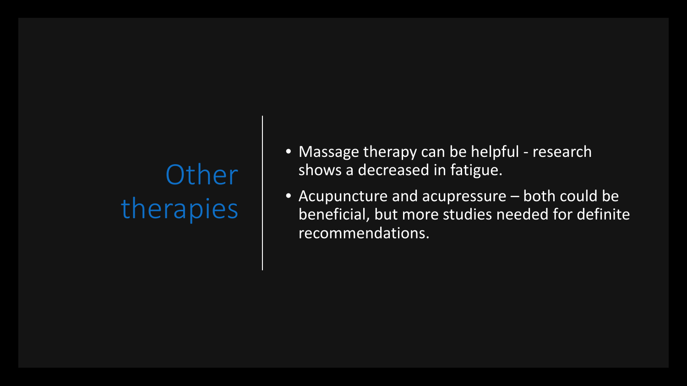# **Other** therapies

- Massage therapy can be helpful research shows a decreased in fatigue.
- Acupuncture and acupressure both could be beneficial, but more studies needed for definite recommendations.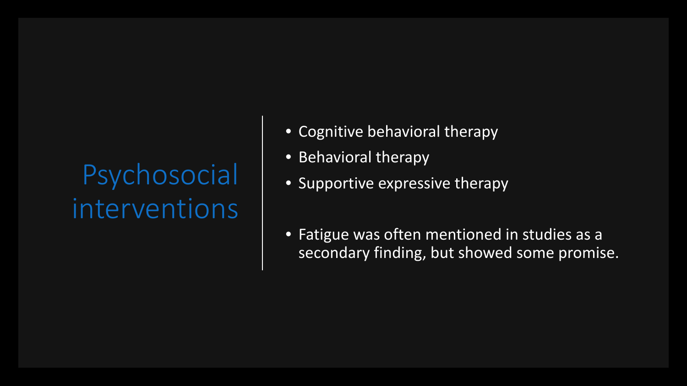# Psychosocial interventions

- Cognitive behavioral therapy
- Behavioral therapy
- Supportive expressive therapy
- Fatigue was often mentioned in studies as a secondary finding, but showed some promise.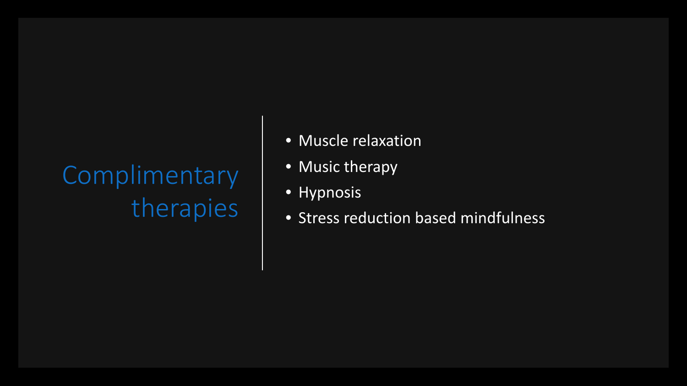# **Complimentary** therapies

- Muscle relaxation
- Music therapy
- **Hypnosis**
- Stress reduction based mindfulness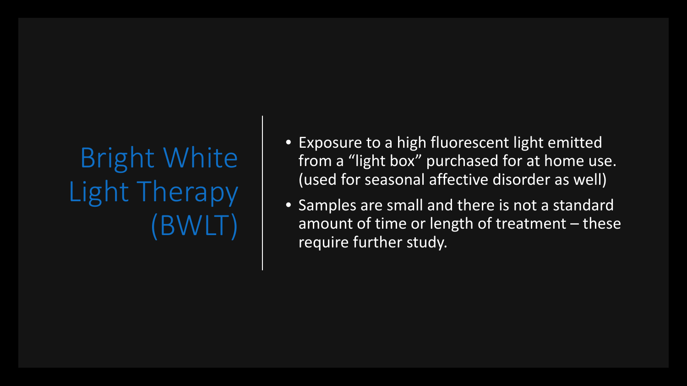Bright White Light Therapy (BWLT)

- Exposure to a high fluorescent light emitted from a "light box" purchased for at home use. (used for seasonal affective disorder as well)
- Samples are small and there is not a standard amount of time or length of treatment – these require further study.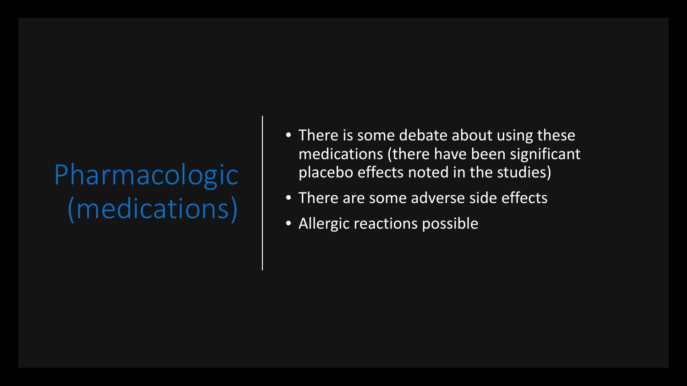# Pharmacologic (medications)

- There is some debate about using these medications (there have been significant placebo effects noted in the studies)
- There are some adverse side effects
- Allergic reactions possible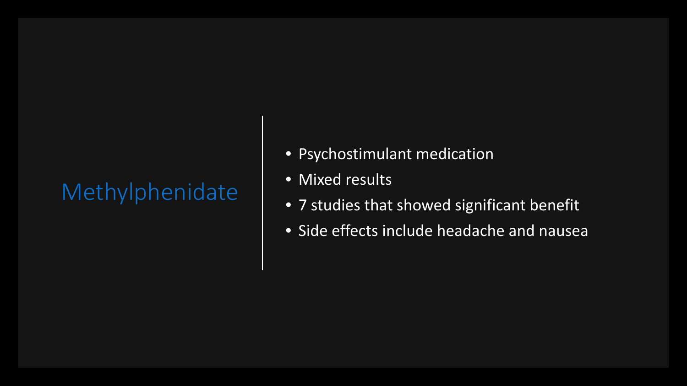#### Methylphenidate

- Psychostimulant medication
- Mixed results
- 7 studies that showed significant benefit
- Side effects include headache and nausea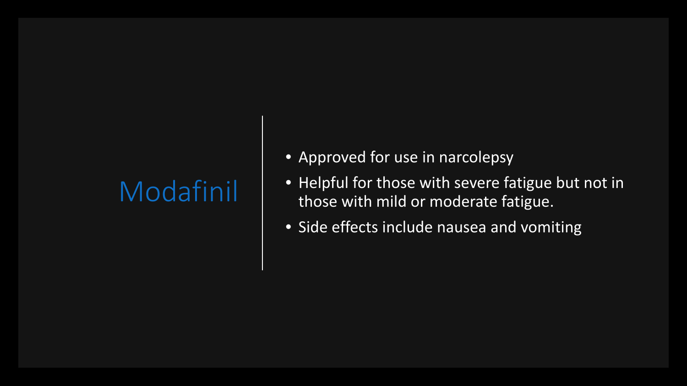#### Modafinil

- Approved for use in narcolepsy
- Helpful for those with severe fatigue but not in those with mild or moderate fatigue.
- Side effects include nausea and vomiting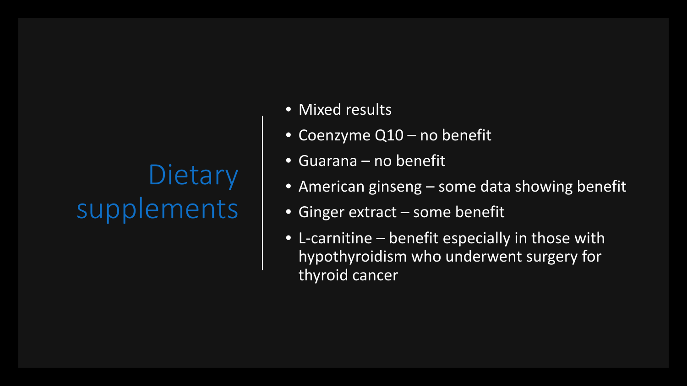### **Dietary** supplements

- Mixed results
- Coenzyme Q10 no benefit
- Guarana no benefit
- American ginseng some data showing benefit
- Ginger extract some benefit
- L-carnitine benefit especially in those with hypothyroidism who underwent surgery for thyroid cancer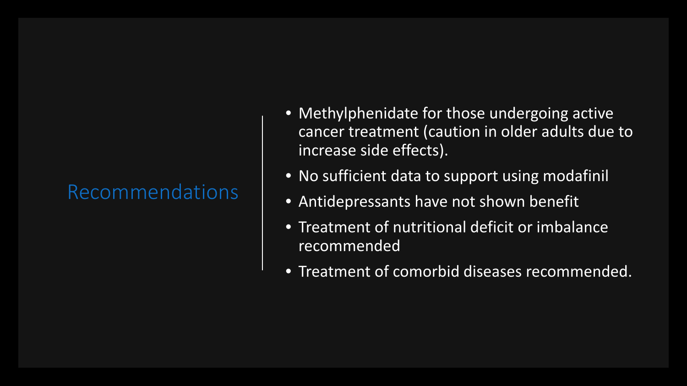#### Recommendations

- Methylphenidate for those undergoing active cancer treatment (caution in older adults due to increase side effects).
- No sufficient data to support using modafinil
- Antidepressants have not shown benefit
- Treatment of nutritional deficit or imbalance recommended
- Treatment of comorbid diseases recommended.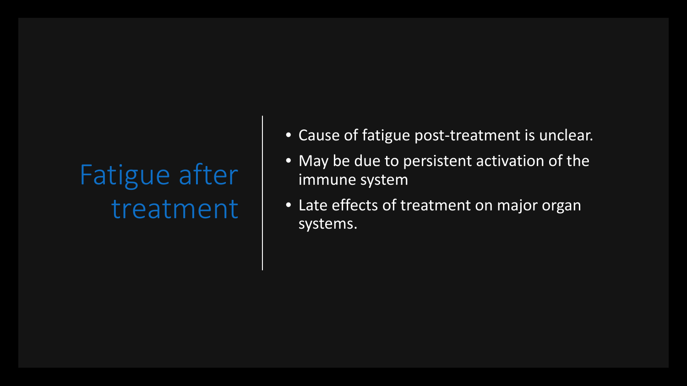## Fatigue after treatment

- Cause of fatigue post-treatment is unclear.
- May be due to persistent activation of the immune system
- Late effects of treatment on major organ systems.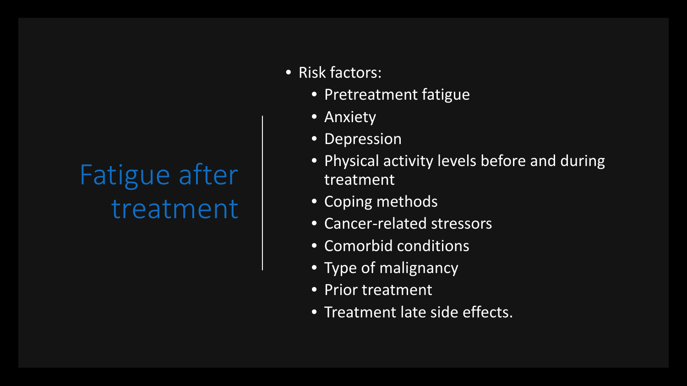### Fatigue after treatment

- Risk factors:
	- Pretreatment fatigue
	- Anxiety
	- Depression
	- Physical activity levels before and during treatment
	- Coping methods
	- Cancer-related stressors
	- Comorbid conditions
	- Type of malignancy
	- Prior treatment
	- Treatment late side effects.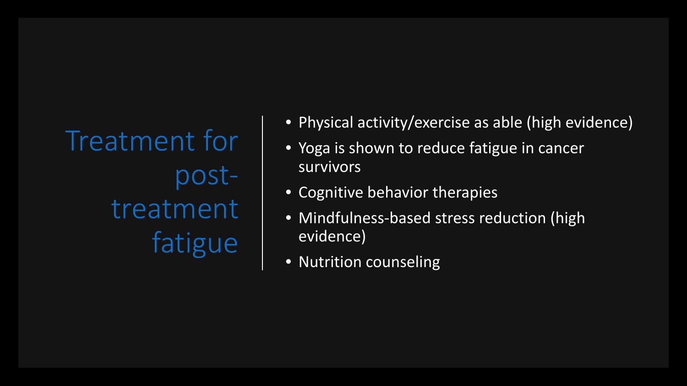Treatment for posttreatment fatigue

- Physical activity/exercise as able (high evidence)
- Yoga is shown to reduce fatigue in cancer survivors
- Cognitive behavior therapies
- Mindfulness-based stress reduction (high evidence)
- Nutrition counseling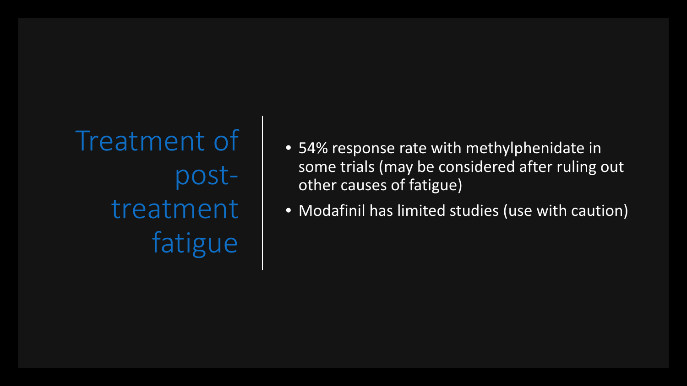Treatment of posttreatment fatigue

- 54% response rate with methylphenidate in some trials (may be considered after ruling out other causes of fatigue)
- Modafinil has limited studies (use with caution)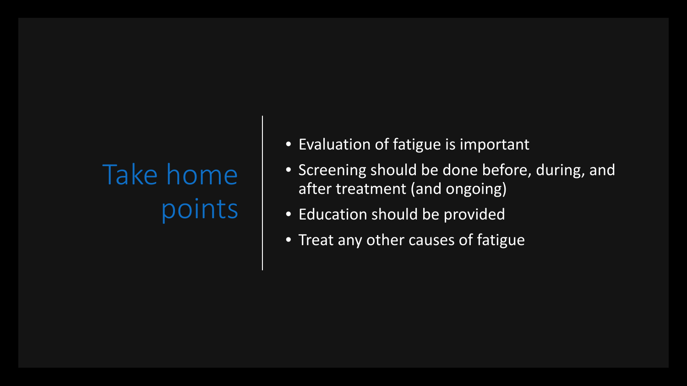# Take home points

- Evaluation of fatigue is important
- Screening should be done before, during, and after treatment (and ongoing)
- Education should be provided
- Treat any other causes of fatigue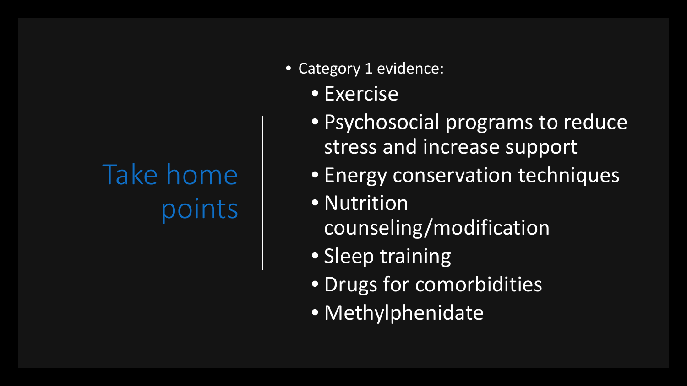# Take home points

- Category 1 evidence:
	- Exercise
	- Psychosocial programs to reduce stress and increase support
	- Energy conservation techniques
	- Nutrition counseling/modification
	- Sleep training
	- Drugs for comorbidities
	- Methylphenidate